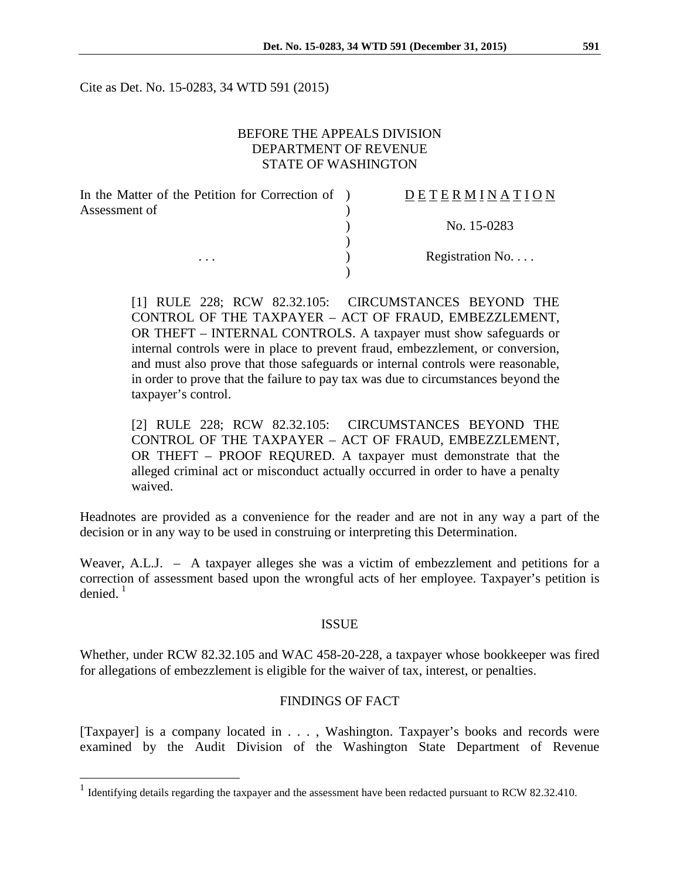Cite as Det. No. 15-0283, 34 WTD 591 (2015)

## BEFORE THE APPEALS DIVISION DEPARTMENT OF REVENUE STATE OF WASHINGTON

| In the Matter of the Petition for Correction of ) | DETERMINATION    |
|---------------------------------------------------|------------------|
| Assessment of<br>$\cdots$                         |                  |
|                                                   | No. 15-0283      |
|                                                   |                  |
|                                                   | Registration No. |
|                                                   |                  |

[1] RULE 228; RCW 82.32.105: CIRCUMSTANCES BEYOND THE CONTROL OF THE TAXPAYER – ACT OF FRAUD, EMBEZZLEMENT, OR THEFT – INTERNAL CONTROLS. A taxpayer must show safeguards or internal controls were in place to prevent fraud, embezzlement, or conversion, and must also prove that those safeguards or internal controls were reasonable, in order to prove that the failure to pay tax was due to circumstances beyond the taxpayer's control.

[2] RULE 228; RCW 82.32.105: CIRCUMSTANCES BEYOND THE CONTROL OF THE TAXPAYER – ACT OF FRAUD, EMBEZZLEMENT, OR THEFT – PROOF REQURED. A taxpayer must demonstrate that the alleged criminal act or misconduct actually occurred in order to have a penalty waived.

Headnotes are provided as a convenience for the reader and are not in any way a part of the decision or in any way to be used in construing or interpreting this Determination.

Weaver, A.L.J. – A taxpayer alleges she was a victim of embezzlement and petitions for a correction of assessment based upon the wrongful acts of her employee. Taxpayer's petition is denied. $1$ 

#### ISSUE

Whether, under RCW 82.32.105 and WAC 458-20-228, a taxpayer whose bookkeeper was fired for allegations of embezzlement is eligible for the waiver of tax, interest, or penalties.

## FINDINGS OF FACT

[Taxpayer] is a company located in . . . , Washington. Taxpayer's books and records were examined by the Audit Division of the Washington State Department of Revenue

<span id="page-0-0"></span><sup>&</sup>lt;sup>1</sup> Identifying details regarding the taxpayer and the assessment have been redacted pursuant to RCW 82.32.410.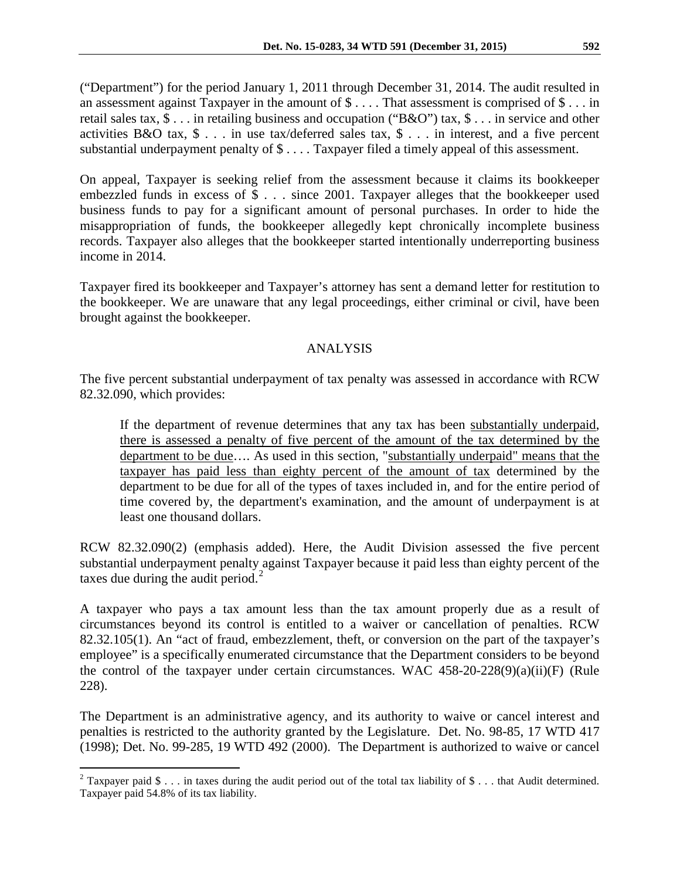("Department") for the period January 1, 2011 through December 31, 2014. The audit resulted in an assessment against Taxpayer in the amount of \$ . . . . That assessment is comprised of \$ . . . in retail sales tax, \$ . . . in retailing business and occupation ("B&O") tax, \$ . . . in service and other activities B&O tax, \$ . . . in use tax/deferred sales tax, \$ . . . in interest, and a five percent substantial underpayment penalty of \$ . . . . Taxpayer filed a timely appeal of this assessment.

On appeal, Taxpayer is seeking relief from the assessment because it claims its bookkeeper embezzled funds in excess of \$ . . . since 2001. Taxpayer alleges that the bookkeeper used business funds to pay for a significant amount of personal purchases. In order to hide the misappropriation of funds, the bookkeeper allegedly kept chronically incomplete business records. Taxpayer also alleges that the bookkeeper started intentionally underreporting business income in 2014.

Taxpayer fired its bookkeeper and Taxpayer's attorney has sent a demand letter for restitution to the bookkeeper. We are unaware that any legal proceedings, either criminal or civil, have been brought against the bookkeeper.

# ANALYSIS

The five percent substantial underpayment of tax penalty was assessed in accordance with RCW 82.32.090, which provides:

If the department of revenue determines that any tax has been substantially underpaid, there is assessed a penalty of five percent of the amount of the tax determined by the department to be due…. As used in this section, "substantially underpaid" means that the taxpayer has paid less than eighty percent of the amount of tax determined by the department to be due for all of the types of taxes included in, and for the entire period of time covered by, the department's examination, and the amount of underpayment is at least one thousand dollars.

RCW 82.32.090(2) (emphasis added). Here, the Audit Division assessed the five percent substantial underpayment penalty against Taxpayer because it paid less than eighty percent of the taxes due during the audit period. $<sup>2</sup>$  $<sup>2</sup>$  $<sup>2</sup>$ </sup>

A taxpayer who pays a tax amount less than the tax amount properly due as a result of circumstances beyond its control is entitled to a waiver or cancellation of penalties. RCW 82.32.105(1). An "act of fraud, embezzlement, theft, or conversion on the part of the taxpayer's employee" is a specifically enumerated circumstance that the Department considers to be beyond the control of the taxpayer under certain circumstances. WAC 458-20-228(9)(a)(ii)(F) (Rule 228).

The Department is an administrative agency, and its authority to waive or cancel interest and penalties is restricted to the authority granted by the Legislature. Det. No. 98-85, 17 WTD 417 (1998); Det. No. 99-285, 19 WTD 492 (2000). The Department is authorized to waive or cancel

<span id="page-1-0"></span><sup>&</sup>lt;sup>2</sup> Taxpayer paid \$ . . . in taxes during the audit period out of the total tax liability of \$ . . . that Audit determined. Taxpayer paid 54.8% of its tax liability.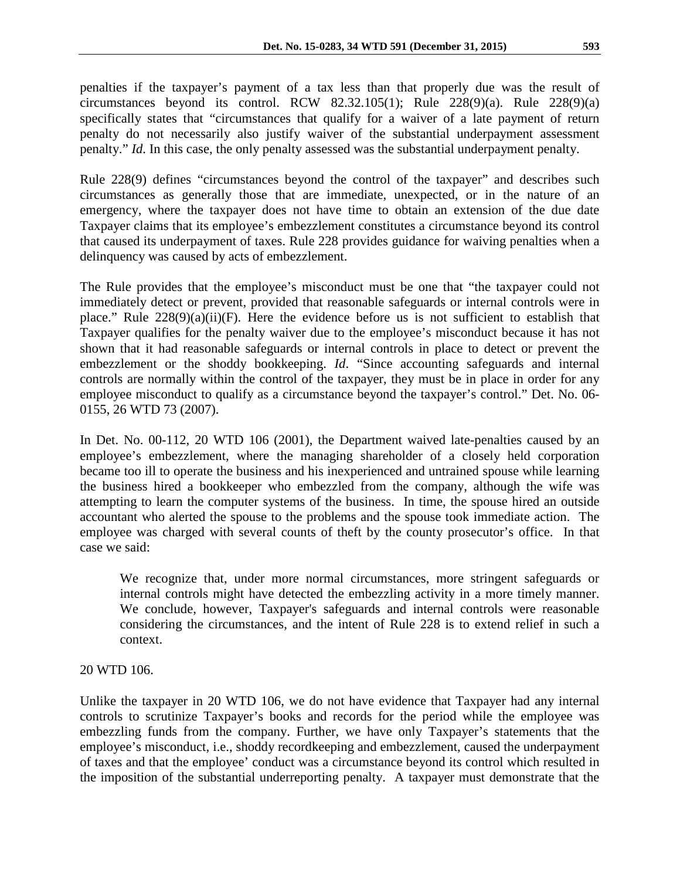penalties if the taxpayer's payment of a tax less than that properly due was the result of circumstances beyond its control. RCW 82.32.105(1); Rule  $228(9)(a)$ . Rule  $228(9)(a)$ specifically states that "circumstances that qualify for a waiver of a late payment of return penalty do not necessarily also justify waiver of the substantial underpayment assessment penalty." *Id*. In this case, the only penalty assessed was the substantial underpayment penalty.

Rule 228(9) defines "circumstances beyond the control of the taxpayer" and describes such circumstances as generally those that are immediate, unexpected, or in the nature of an emergency, where the taxpayer does not have time to obtain an extension of the due date Taxpayer claims that its employee's embezzlement constitutes a circumstance beyond its control that caused its underpayment of taxes. Rule 228 provides guidance for waiving penalties when a delinquency was caused by acts of embezzlement.

The Rule provides that the employee's misconduct must be one that "the taxpayer could not immediately detect or prevent, provided that reasonable safeguards or internal controls were in place." Rule  $228(9)(a)(ii)(F)$ . Here the evidence before us is not sufficient to establish that Taxpayer qualifies for the penalty waiver due to the employee's misconduct because it has not shown that it had reasonable safeguards or internal controls in place to detect or prevent the embezzlement or the shoddy bookkeeping. *Id*. "Since accounting safeguards and internal controls are normally within the control of the taxpayer, they must be in place in order for any employee misconduct to qualify as a circumstance beyond the taxpayer's control." Det. No. 06- 0155, 26 WTD 73 (2007).

In Det. No. 00-112, 20 WTD 106 (2001), the Department waived late-penalties caused by an employee's embezzlement, where the managing shareholder of a closely held corporation became too ill to operate the business and his inexperienced and untrained spouse while learning the business hired a bookkeeper who embezzled from the company, although the wife was attempting to learn the computer systems of the business. In time, the spouse hired an outside accountant who alerted the spouse to the problems and the spouse took immediate action. The employee was charged with several counts of theft by the county prosecutor's office. In that case we said:

We recognize that, under more normal circumstances, more stringent safeguards or internal controls might have detected the embezzling activity in a more timely manner. We conclude, however, Taxpayer's safeguards and internal controls were reasonable considering the circumstances, and the intent of Rule 228 is to extend relief in such a context.

## 20 WTD 106.

Unlike the taxpayer in 20 WTD 106, we do not have evidence that Taxpayer had any internal controls to scrutinize Taxpayer's books and records for the period while the employee was embezzling funds from the company. Further, we have only Taxpayer's statements that the employee's misconduct, i.e., shoddy recordkeeping and embezzlement, caused the underpayment of taxes and that the employee' conduct was a circumstance beyond its control which resulted in the imposition of the substantial underreporting penalty. A taxpayer must demonstrate that the